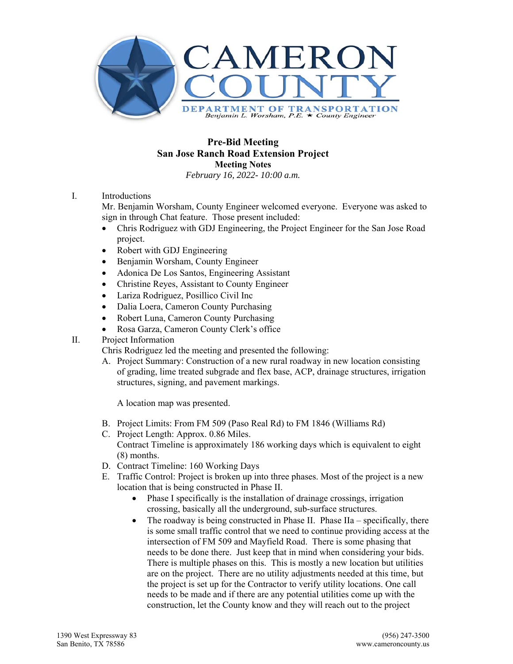

# **Pre-Bid Meeting San Jose Ranch Road Extension Project Meeting Notes**

*February 16, 2022- 10:00 a.m.* 

# I. Introductions

Mr. Benjamin Worsham, County Engineer welcomed everyone. Everyone was asked to sign in through Chat feature. Those present included:

- Chris Rodriguez with GDJ Engineering, the Project Engineer for the San Jose Road project.
- Robert with GDJ Engineering
- Benjamin Worsham, County Engineer
- Adonica De Los Santos, Engineering Assistant
- Christine Reyes, Assistant to County Engineer
- Lariza Rodriguez, Posillico Civil Inc
- Dalia Loera, Cameron County Purchasing
- Robert Luna, Cameron County Purchasing
- Rosa Garza, Cameron County Clerk's office
- II. Project Information

Chris Rodriguez led the meeting and presented the following:

A. Project Summary: Construction of a new rural roadway in new location consisting of grading, lime treated subgrade and flex base, ACP, drainage structures, irrigation structures, signing, and pavement markings.

A location map was presented.

- B. Project Limits: From FM 509 (Paso Real Rd) to FM 1846 (Williams Rd)
- C. Project Length: Approx. 0.86 Miles. Contract Timeline is approximately 186 working days which is equivalent to eight (8) months.
- D. Contract Timeline: 160 Working Days
- E. Traffic Control: Project is broken up into three phases. Most of the project is a new location that is being constructed in Phase II.
	- Phase I specifically is the installation of drainage crossings, irrigation crossing, basically all the underground, sub-surface structures.
	- $\bullet$  The roadway is being constructed in Phase II. Phase IIa specifically, there is some small traffic control that we need to continue providing access at the intersection of FM 509 and Mayfield Road. There is some phasing that needs to be done there. Just keep that in mind when considering your bids. There is multiple phases on this. This is mostly a new location but utilities are on the project. There are no utility adjustments needed at this time, but the project is set up for the Contractor to verify utility locations. One call needs to be made and if there are any potential utilities come up with the construction, let the County know and they will reach out to the project